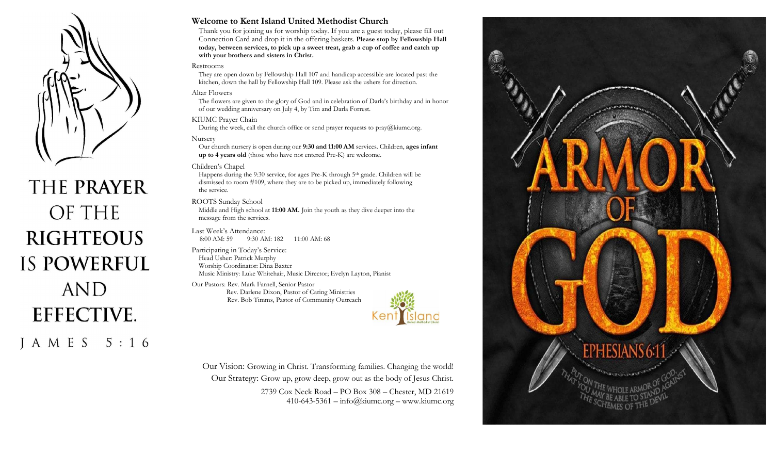

# THE PRAYER OF THE **RIGHTEOUS IS POWERFUL AND EFFECTIVE.** J A M E S 5 : 1 6

#### **Welcome to Kent Island United Methodist Church**

Thank you for joining us for worship today. If you are a guest today, please fill out Connection Card and drop it in the offering baskets. **Please stop by Fellowship Hall today, between services, to pick up a sweet treat, grab a cup of coffee and catch up with your brothers and sisters in Christ.**

#### Restrooms

They are open down by Fellowship Hall 107 and handicap accessible are located past the kitchen, down the hall by Fellowship Hall 109. Please ask the ushers for direction.

#### Altar Flowers

The flowers are given to the glory of God and in celebration of Darla's birthday and in honor of our wedding anniversary on July 4, by Tim and Darla Forrest.

#### KIUMC Prayer Chain

During the week, call the church office or send prayer requests to  $\text{prav}(a)$ kiumc.org.

#### Nursery

Our church nursery is open during our **9:30 and 11:00 AM** services. Children, **ages infant up to 4 years old** (those who have not entered Pre-K) are welcome.

#### Children's Chapel

Happens during the 9:30 service, for ages Pre-K through 5<sup>th</sup> grade. Children will be dismissed to room #109, where they are to be picked up, immediately following the service.

#### ROOTS Sunday School

Middle and High school at **11:00 AM.** Join the youth as they dive deeper into the message from the services.

Last Week's Attendance: 8:00 AM: 59 9:30 AM: 182 11:00 AM: 68

Participating in Today's Service: Head Usher: Patrick Murphy Worship Coordinator: Dina Baxter Music Ministry: Luke Whitehair, Music Director; Evelyn Layton, Pianist

Our Pastors: Rev. Mark Farnell, Senior Pastor Rev. Darlene Dixon, Pastor of Caring Ministries Rev. Bob Timms, Pastor of Community Outreach



Our Vision: Growing in Christ. Transforming families. Changing the world! Our Strategy: Grow up, grow deep, grow out as the body of Jesus Christ. 2739 Cox Neck Road – PO Box 308 – Chester, MD 21619  $410-643-5361 - \inf($ akiumc.org – www.kiumc.org